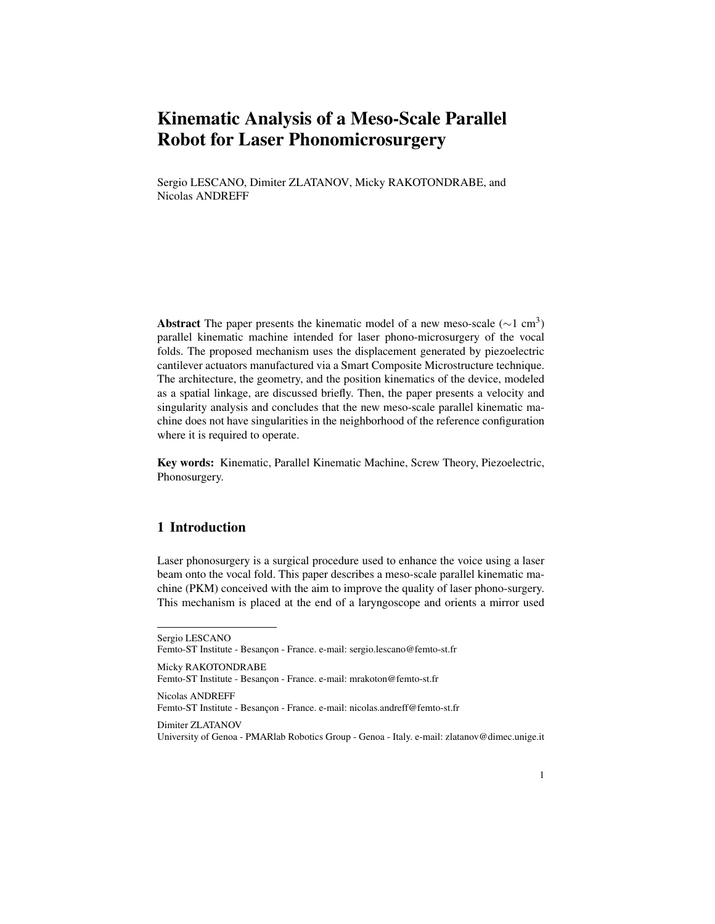# Kinematic Analysis of a Meso-Scale Parallel Robot for Laser Phonomicrosurgery

Sergio LESCANO, Dimiter ZLATANOV, Micky RAKOTONDRABE, and Nicolas ANDREFF

Abstract The paper presents the kinematic model of a new meso-scale ( $\sim$ 1 cm<sup>3</sup>) parallel kinematic machine intended for laser phono-microsurgery of the vocal folds. The proposed mechanism uses the displacement generated by piezoelectric cantilever actuators manufactured via a Smart Composite Microstructure technique. The architecture, the geometry, and the position kinematics of the device, modeled as a spatial linkage, are discussed briefly. Then, the paper presents a velocity and singularity analysis and concludes that the new meso-scale parallel kinematic machine does not have singularities in the neighborhood of the reference configuration where it is required to operate.

Key words: Kinematic, Parallel Kinematic Machine, Screw Theory, Piezoelectric, Phonosurgery.

## 1 Introduction

Laser phonosurgery is a surgical procedure used to enhance the voice using a laser beam onto the vocal fold. This paper describes a meso-scale parallel kinematic machine (PKM) conceived with the aim to improve the quality of laser phono-surgery. This mechanism is placed at the end of a laryngoscope and orients a mirror used

Sergio LESCANO Femto-ST Institute - Besançon - France. e-mail: sergio.lescano@femto-st.fr

Micky RAKOTONDRABE Femto-ST Institute - Besançon - France. e-mail: mrakoton@femto-st.fr Nicolas ANDREFF Femto-ST Institute - Besançon - France. e-mail: nicolas.andreff@femto-st.fr

Dimiter ZLATANOV

University of Genoa - PMARlab Robotics Group - Genoa - Italy. e-mail: zlatanov@dimec.unige.it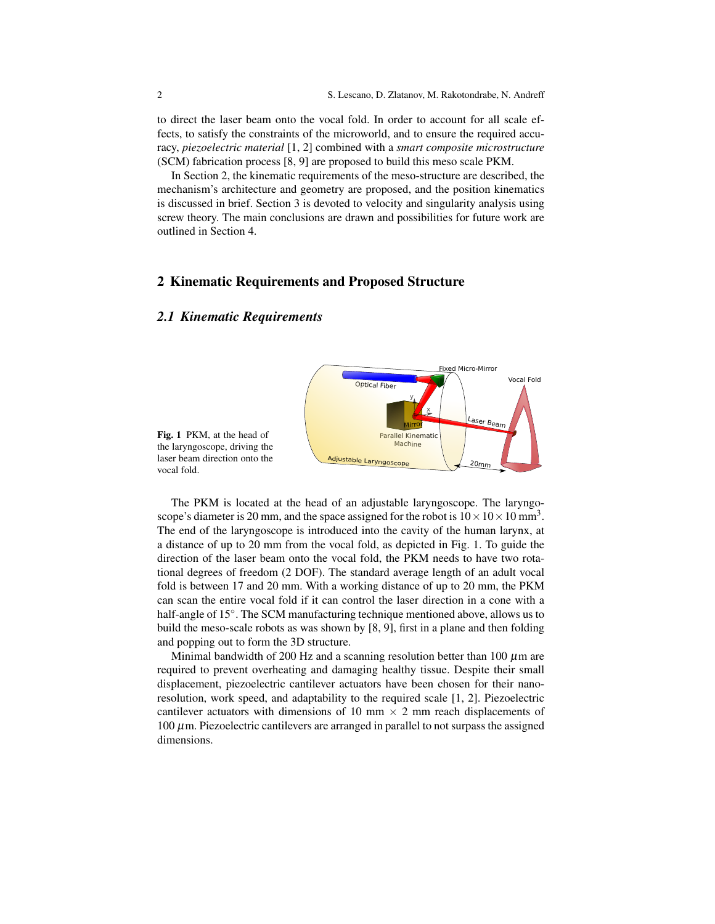to direct the laser beam onto the vocal fold. In order to account for all scale effects, to satisfy the constraints of the microworld, and to ensure the required accuracy, *piezoelectric material* [1, 2] combined with a *smart composite microstructure* (SCM) fabrication process [8, 9] are proposed to build this meso scale PKM.

In Section 2, the kinematic requirements of the meso-structure are described, the mechanism's architecture and geometry are proposed, and the position kinematics is discussed in brief. Section 3 is devoted to velocity and singularity analysis using screw theory. The main conclusions are drawn and possibilities for future work are outlined in Section 4.

# 2 Kinematic Requirements and Proposed Structure

#### *2.1 Kinematic Requirements*



Fig. 1 PKM, at the head of the laryngoscope, driving the laser beam direction onto the vocal fold.

The PKM is located at the head of an adjustable laryngoscope. The laryngoscope's diameter is 20 mm, and the space assigned for the robot is  $10 \times 10 \times 10$  mm<sup>3</sup>. The end of the laryngoscope is introduced into the cavity of the human larynx, at a distance of up to 20 mm from the vocal fold, as depicted in Fig. 1. To guide the direction of the laser beam onto the vocal fold, the PKM needs to have two rotational degrees of freedom (2 DOF). The standard average length of an adult vocal fold is between 17 and 20 mm. With a working distance of up to 20 mm, the PKM can scan the entire vocal fold if it can control the laser direction in a cone with a half-angle of 15°. The SCM manufacturing technique mentioned above, allows us to build the meso-scale robots as was shown by [8, 9], first in a plane and then folding and popping out to form the 3D structure.

Minimal bandwidth of 200 Hz and a scanning resolution better than 100  $\mu$ m are required to prevent overheating and damaging healthy tissue. Despite their small displacement, piezoelectric cantilever actuators have been chosen for their nanoresolution, work speed, and adaptability to the required scale [1, 2]. Piezoelectric cantilever actuators with dimensions of 10 mm  $\times$  2 mm reach displacements of  $100 \mu$ m. Piezoelectric cantilevers are arranged in parallel to not surpass the assigned dimensions.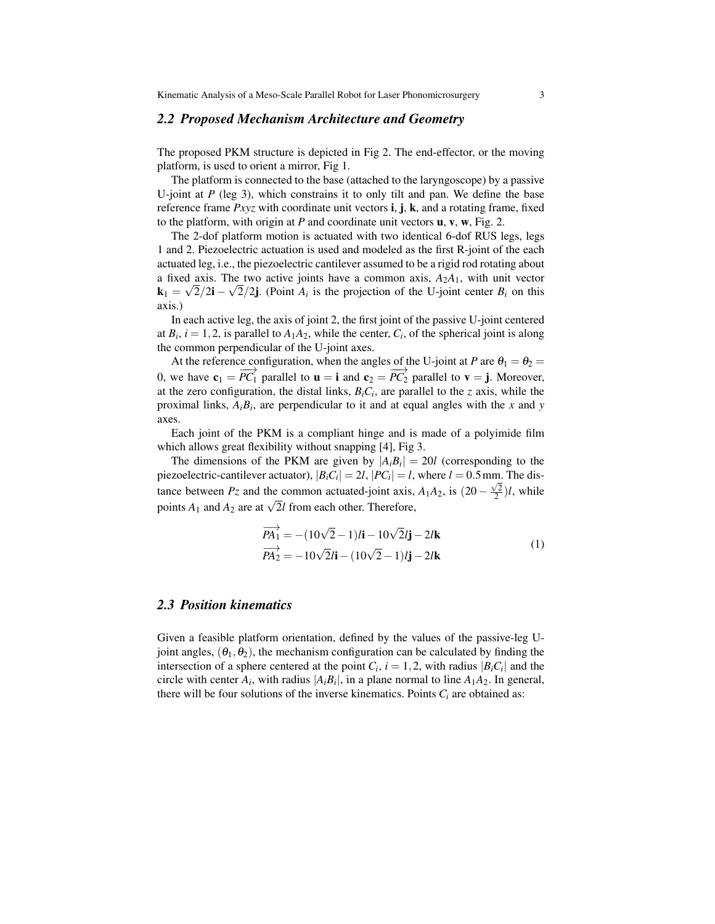#### *2.2 Proposed Mechanism Architecture and Geometry*

The proposed PKM structure is depicted in Fig 2. The end-effector, or the moving platform, is used to orient a mirror, Fig 1.

The platform is connected to the base (attached to the laryngoscope) by a passive U-joint at  $P$  (leg 3), which constrains it to only tilt and pan. We define the base reference frame *Pxyz* with coordinate unit vectors **i**, **j**, **k**, and a rotating frame, fixed to the platform, with origin at *P* and coordinate unit vectors u, v, w, Fig. 2.

The 2-dof platform motion is actuated with two identical 6-dof RUS legs, legs 1 and 2. Piezoelectric actuation is used and modeled as the first R-joint of the each actuated leg, i.e., the piezoelectric cantilever assumed to be a rigid rod rotating about a fixed axis. The two active joints have a common axis,  $A_2A_1$ , with unit vector  $\mathbf{k}_1 = \sqrt{2}/2\mathbf{i} - \sqrt{2}/2\mathbf{j}$ . (Point  $A_i$  is the projection of the U-joint center  $B_i$  on this axis.)

In each active leg, the axis of joint 2, the first joint of the passive U-joint centered at  $B_i$ ,  $i = 1, 2$ , is parallel to  $A_1A_2$ , while the center,  $C_i$ , of the spherical joint is along the common perpendicular of the U-joint axes.

At the reference configuration, when the angles of the U-joint at *P* are  $\theta_1 = \theta_2 =$ 0, we have  $\mathbf{c}_1 = \overrightarrow{PC_1}$  parallel to  $\mathbf{u} = \mathbf{i}$  and  $\mathbf{c}_2 = \overrightarrow{PC_2}$  parallel to  $\mathbf{v} = \mathbf{j}$ . Moreover, at the zero configuration, the distal links,  $B_iC_i$ , are parallel to the *z* axis, while the proximal links,  $A_i B_i$ , are perpendicular to it and at equal angles with the *x* and *y* axes.

Each joint of the PKM is a compliant hinge and is made of a polyimide film which allows great flexibility without snapping [4], Fig 3.

The dimensions of the PKM are given by  $|A_i B_i| = 20l$  (corresponding to the piezoelectric-cantilever actuator),  $|B_i C_i| = 2l$ ,  $|PC_i| = l$ , where  $l = 0.5$  mm. The distance between *Pz* and the common actuated-joint axis,  $A_1A_2$ , is  $(20 - \frac{\sqrt{2}}{2})l$ , while points  $A_1$  and  $A_2$  are at  $\sqrt{2}l$  from each other. Therefore,

$$
\overrightarrow{PA_1} = -(10\sqrt{2} - 1)l\mathbf{i} - 10\sqrt{2}l\mathbf{j} - 2l\mathbf{k}
$$
  
\n
$$
\overrightarrow{PA_2} = -10\sqrt{2}l\mathbf{i} - (10\sqrt{2} - 1)l\mathbf{j} - 2l\mathbf{k}
$$
\n(1)

#### *2.3 Position kinematics*

Given a feasible platform orientation, defined by the values of the passive-leg Ujoint angles,  $(\theta_1, \theta_2)$ , the mechanism configuration can be calculated by finding the intersection of a sphere centered at the point  $C_i$ ,  $i = 1, 2$ , with radius  $|B_i C_i|$  and the circle with center  $A_i$ , with radius  $|A_i B_i|$ , in a plane normal to line  $A_1 A_2$ . In general, there will be four solutions of the inverse kinematics. Points  $C_i$  are obtained as: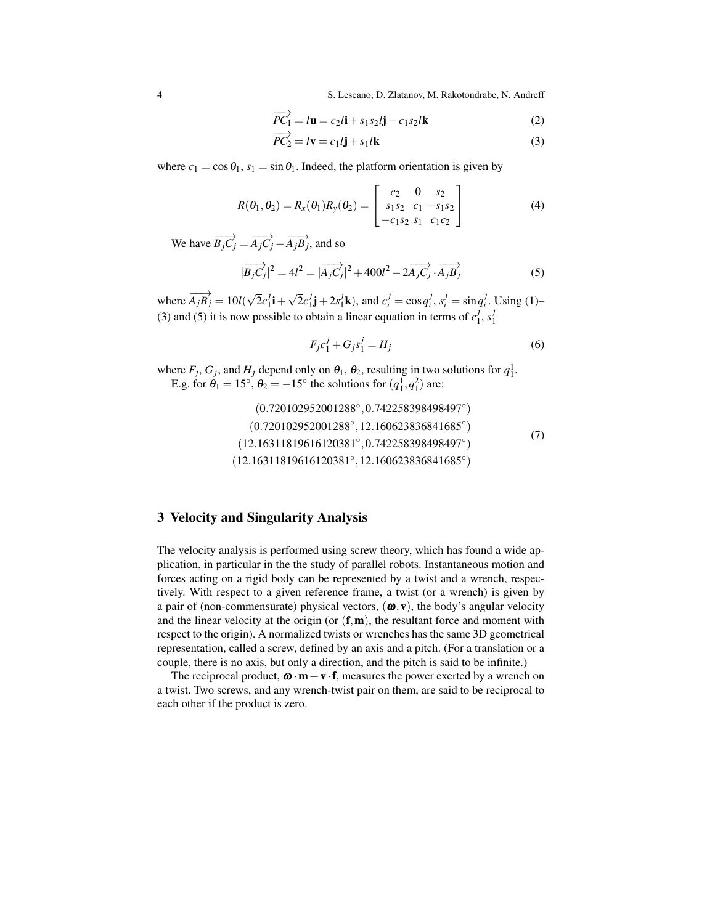4 S. Lescano, D. Zlatanov, M. Rakotondrabe, N. Andreff

$$
\overrightarrow{PC_1} = l\mathbf{u} = c_2l\mathbf{i} + s_1s_2l\mathbf{j} - c_1s_2l\mathbf{k}
$$
 (2)

$$
\overrightarrow{PC_2} = l\mathbf{v} = c_1 l\mathbf{j} + s_1 l\mathbf{k} \tag{3}
$$

where  $c_1 = \cos \theta_1$ ,  $s_1 = \sin \theta_1$ . Indeed, the platform orientation is given by

$$
R(\theta_1, \theta_2) = R_x(\theta_1) R_y(\theta_2) = \begin{bmatrix} c_2 & 0 & s_2 \\ s_1 s_2 & c_1 - s_1 s_2 \\ -c_1 s_2 & s_1 & c_1 c_2 \end{bmatrix}
$$
(4)

We have  $\overrightarrow{B_jC_j} = \overrightarrow{A_jC_j} - \overrightarrow{A_jB_j}$ , and so

$$
|\overrightarrow{B_jC_j}|^2 = 4l^2 = |\overrightarrow{A_jC_j}|^2 + 400l^2 - 2\overrightarrow{A_jC_j} \cdot \overrightarrow{A_jB_j}
$$
 (5)

where  $\overrightarrow{A_j B_j} = 10 l(\sqrt{2})$  $\overline{2}c_1^j$  $i_{1}^{j}$ **i** + √  $\overline{2}c_1^j$  $j_1^j j + 2s_1^j$  $j$ **k**), and  $c_i^j = \cos q_i^j$ ,  $s_i^j = \sin q_i^j$ . Using (1)– (3) and (5) it is now possible to obtain a linear equation in terms of  $c_1^j$  $j_1, s_1^j$ 1

$$
F_j c_1^j + G_j s_1^j = H_j \tag{6}
$$

where  $F_j$ ,  $G_j$ , and  $H_j$  depend only on  $\theta_1$ ,  $\theta_2$ , resulting in two solutions for  $q_1^1$ . E.g. for  $\hat{\theta}_1 = 15^\circ$ ,  $\theta_2 = -15^\circ$  the solutions for  $(q_1^1, q_1^2)$  are:

$$
(0.720102952001288^{\circ}, 0.742258398498497^{\circ})
$$
  
\n
$$
(0.720102952001288^{\circ}, 12.160623836841685^{\circ})
$$
  
\n
$$
(12.16311819616120381^{\circ}, 0.742258398498497^{\circ})
$$
  
\n
$$
(12.16311819616120381^{\circ}, 12.160623836841685^{\circ})
$$
  
\n(7)

## 3 Velocity and Singularity Analysis

The velocity analysis is performed using screw theory, which has found a wide application, in particular in the the study of parallel robots. Instantaneous motion and forces acting on a rigid body can be represented by a twist and a wrench, respectively. With respect to a given reference frame, a twist (or a wrench) is given by a pair of (non-commensurate) physical vectors,  $(\omega, v)$ , the body's angular velocity and the linear velocity at the origin (or  $(f, m)$ , the resultant force and moment with respect to the origin). A normalized twists or wrenches has the same 3D geometrical representation, called a screw, defined by an axis and a pitch. (For a translation or a couple, there is no axis, but only a direction, and the pitch is said to be infinite.)

The reciprocal product,  $\mathbf{\omega} \cdot \mathbf{m} + \mathbf{v} \cdot \mathbf{f}$ , measures the power exerted by a wrench on a twist. Two screws, and any wrench-twist pair on them, are said to be reciprocal to each other if the product is zero.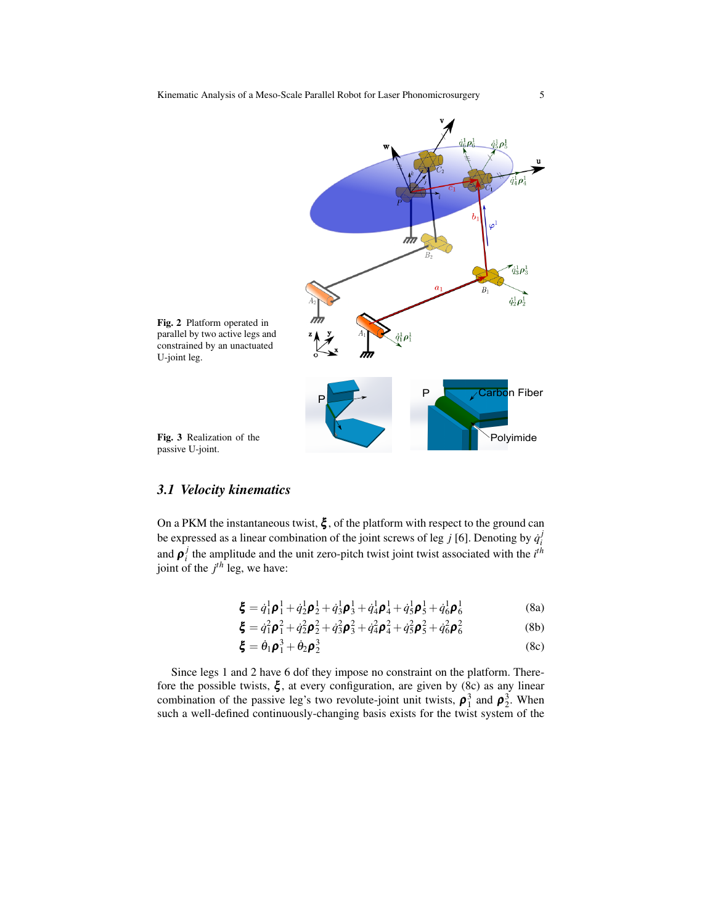

## *3.1 Velocity kinematics*

On a PKM the instantaneous twist,  $\xi$ , of the platform with respect to the ground can be expressed as a linear combination of the joint screws of leg *j* [6]. Denoting by  $\dot{q}_i^j$ and  $\rho_i^j$  the amplitude and the unit zero-pitch twist joint twist associated with the  $i^{th}$ joint of the *j th* leg, we have:

$$
\boldsymbol{\xi} = \dot{q}_1^1 \boldsymbol{\rho}_1^1 + \dot{q}_2^1 \boldsymbol{\rho}_2^1 + \dot{q}_3^1 \boldsymbol{\rho}_3^1 + \dot{q}_4^1 \boldsymbol{\rho}_4^1 + \dot{q}_5^1 \boldsymbol{\rho}_5^1 + \dot{q}_6^1 \boldsymbol{\rho}_6^1 \tag{8a}
$$

$$
\boldsymbol{\xi} = \dot{q}_1^2 \boldsymbol{\rho}_1^2 + \dot{q}_2^2 \boldsymbol{\rho}_2^2 + \dot{q}_3^2 \boldsymbol{\rho}_3^2 + \dot{q}_4^2 \boldsymbol{\rho}_4^2 + \dot{q}_5^2 \boldsymbol{\rho}_5^2 + \dot{q}_6^2 \boldsymbol{\rho}_6^2 \tag{8b}
$$

$$
\boldsymbol{\xi} = \dot{\theta}_1 \boldsymbol{\rho}_1^3 + \dot{\theta}_2 \boldsymbol{\rho}_2^3 \tag{8c}
$$

Since legs 1 and 2 have 6 dof they impose no constraint on the platform. Therefore the possible twists,  $\xi$ , at every configuration, are given by (8c) as any linear combination of the passive leg's two revolute-joint unit twists,  $\rho_1^3$  and  $\rho_2^3$ . When such a well-defined continuously-changing basis exists for the twist system of the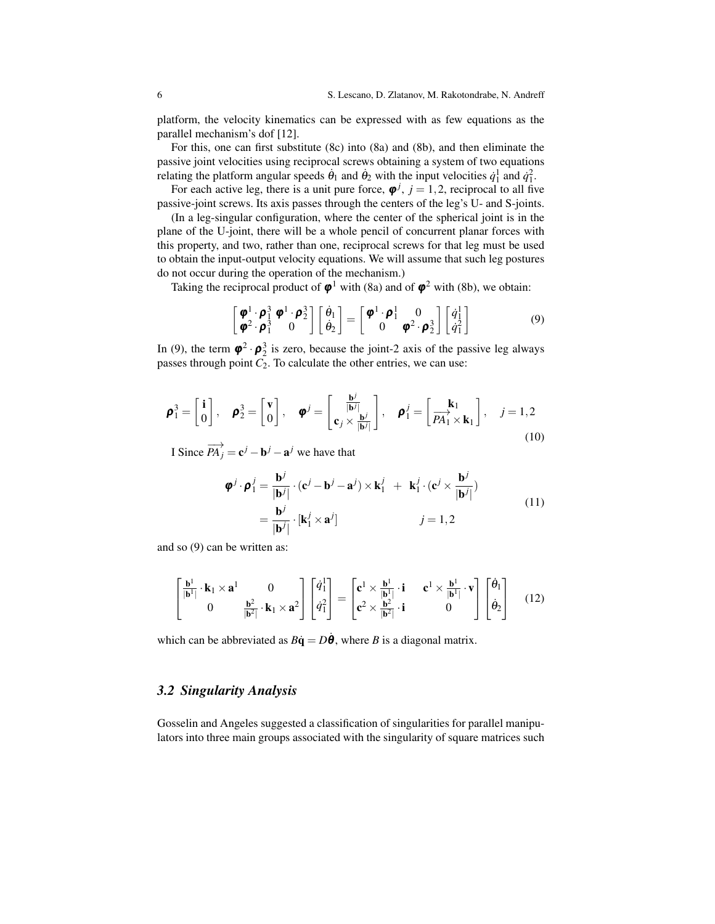platform, the velocity kinematics can be expressed with as few equations as the parallel mechanism's dof [12].

For this, one can first substitute (8c) into (8a) and (8b), and then eliminate the passive joint velocities using reciprocal screws obtaining a system of two equations relating the platform angular speeds  $\dot{\theta}_1$  and  $\dot{\theta}_2$  with the input velocities  $\dot{q}_1^1$  and  $\dot{q}_1^2$ .

For each active leg, there is a unit pure force,  $\boldsymbol{\varphi}^j$ ,  $j = 1, 2$ , reciprocal to all five passive-joint screws. Its axis passes through the centers of the leg's U- and S-joints.

(In a leg-singular configuration, where the center of the spherical joint is in the plane of the U-joint, there will be a whole pencil of concurrent planar forces with this property, and two, rather than one, reciprocal screws for that leg must be used to obtain the input-output velocity equations. We will assume that such leg postures do not occur during the operation of the mechanism.)

Taking the reciprocal product of  $\varphi^1$  with (8a) and of  $\varphi^2$  with (8b), we obtain:

$$
\begin{bmatrix} \boldsymbol{\varphi}^{1} \cdot \boldsymbol{\rho}_{1}^{3} \boldsymbol{\varphi}^{1} \cdot \boldsymbol{\rho}_{2}^{3} \\ \boldsymbol{\varphi}^{2} \cdot \boldsymbol{\rho}_{1}^{3} \end{bmatrix} \begin{bmatrix} \dot{\theta}_{1} \\ \dot{\theta}_{2} \end{bmatrix} = \begin{bmatrix} \boldsymbol{\varphi}^{1} \cdot \boldsymbol{\rho}_{1}^{1} & 0 \\ 0 & \boldsymbol{\varphi}^{2} \cdot \boldsymbol{\rho}_{2}^{3} \end{bmatrix} \begin{bmatrix} \dot{q}_{1}^{1} \\ \dot{q}_{1}^{2} \end{bmatrix}
$$
(9)

In (9), the term  $\varphi^2 \cdot \varphi_2^3$  is zero, because the joint-2 axis of the passive leg always passes through point  $\overline{C_2}$ . To calculate the other entries, we can use:

$$
\boldsymbol{\rho}_1^3 = \begin{bmatrix} \mathbf{i} \\ 0 \end{bmatrix}, \quad \boldsymbol{\rho}_2^3 = \begin{bmatrix} \mathbf{v} \\ 0 \end{bmatrix}, \quad \boldsymbol{\varphi}^j = \begin{bmatrix} \frac{\mathbf{b}^j}{|\mathbf{b}^j|} \\ \mathbf{c}_j \times \frac{\mathbf{b}^j}{|\mathbf{b}^j|} \end{bmatrix}, \quad \boldsymbol{\rho}_1^j = \begin{bmatrix} \mathbf{k}_1 \\ \overrightarrow{PA_1} \times \mathbf{k}_1 \end{bmatrix}, \quad j = 1, 2
$$
\n(10)

I Since  $\overrightarrow{PA}_j = \mathbf{c}^j - \mathbf{b}^j - \mathbf{a}^j$  we have that

$$
\begin{aligned} \boldsymbol{\varphi}^{j} \cdot \boldsymbol{\rho}_{1}^{j} &= \frac{\mathbf{b}^{j}}{|\mathbf{b}^{j}|} \cdot (\mathbf{c}^{j} - \mathbf{b}^{j} - \mathbf{a}^{j}) \times \mathbf{k}_{1}^{j} + \mathbf{k}_{1}^{j} \cdot (\mathbf{c}^{j} \times \frac{\mathbf{b}^{j}}{|\mathbf{b}^{j}|}) \\ &= \frac{\mathbf{b}^{j}}{|\mathbf{b}^{j}|} \cdot [\mathbf{k}_{1}^{j} \times \mathbf{a}^{j}] \qquad j = 1, 2 \end{aligned} \tag{11}
$$

and so (9) can be written as:

$$
\begin{bmatrix} \frac{\mathbf{b}^1}{|\mathbf{b}^1|} \cdot \mathbf{k}_1 \times \mathbf{a}^1 & 0 \\ 0 & \frac{\mathbf{b}^2}{|\mathbf{b}^2|} \cdot \mathbf{k}_1 \times \mathbf{a}^2 \end{bmatrix} \begin{bmatrix} \dot{q}_1^1 \\ \dot{q}_1^2 \end{bmatrix} = \begin{bmatrix} \mathbf{c}^1 \times \frac{\mathbf{b}^1}{|\mathbf{b}^1|} \cdot \mathbf{i} & \mathbf{c}^1 \times \frac{\mathbf{b}^1}{|\mathbf{b}^1|} \cdot \mathbf{v} \\ \mathbf{c}^2 \times \frac{\mathbf{b}^2}{|\mathbf{b}^2|} \cdot \mathbf{i} & 0 \end{bmatrix} \begin{bmatrix} \dot{\theta}_1 \\ \dot{\theta}_2 \end{bmatrix}
$$
(12)

which can be abbreviated as  $B\dot{q} = D\dot{\theta}$ , where *B* is a diagonal matrix.

## *3.2 Singularity Analysis*

Gosselin and Angeles suggested a classification of singularities for parallel manipulators into three main groups associated with the singularity of square matrices such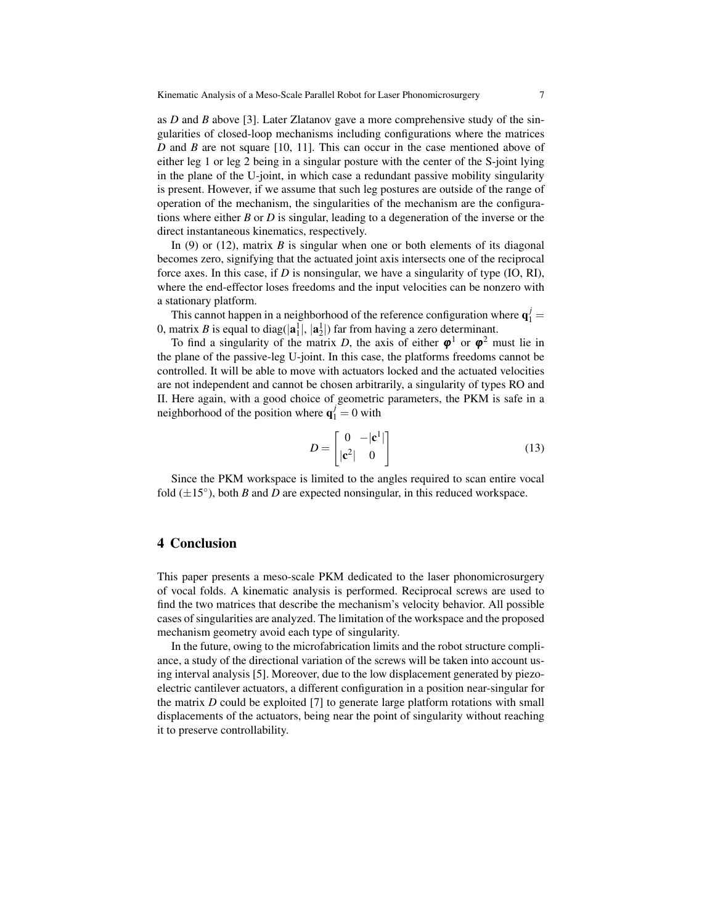as *D* and *B* above [3]. Later Zlatanov gave a more comprehensive study of the singularities of closed-loop mechanisms including configurations where the matrices *D* and *B* are not square [10, 11]. This can occur in the case mentioned above of either leg 1 or leg 2 being in a singular posture with the center of the S-joint lying in the plane of the U-joint, in which case a redundant passive mobility singularity is present. However, if we assume that such leg postures are outside of the range of operation of the mechanism, the singularities of the mechanism are the configurations where either *B* or *D* is singular, leading to a degeneration of the inverse or the direct instantaneous kinematics, respectively.

In (9) or (12), matrix *B* is singular when one or both elements of its diagonal becomes zero, signifying that the actuated joint axis intersects one of the reciprocal force axes. In this case, if *D* is nonsingular, we have a singularity of type (IO, RI), where the end-effector loses freedoms and the input velocities can be nonzero with a stationary platform.

This cannot happen in a neighborhood of the reference configuration where  $\mathbf{q}_1^j$  = 0, matrix *B* is equal to diag( $|\mathbf{a}_1^1|$ ,  $|\mathbf{a}_2^1|$ ) far from having a zero determinant.

To find a singularity of the matrix *D*, the axis of either  $\varphi^1$  or  $\varphi^2$  must lie in the plane of the passive-leg U-joint. In this case, the platforms freedoms cannot be controlled. It will be able to move with actuators locked and the actuated velocities are not independent and cannot be chosen arbitrarily, a singularity of types RO and II. Here again, with a good choice of geometric parameters, the PKM is safe in a neighborhood of the position where  $\mathbf{q}_1^j = 0$  with

$$
D = \begin{bmatrix} 0 & -|\mathbf{c}^1| \\ |\mathbf{c}^2| & 0 \end{bmatrix}
$$
 (13)

Since the PKM workspace is limited to the angles required to scan entire vocal fold  $(\pm 15^{\circ})$ , both *B* and *D* are expected nonsingular, in this reduced workspace.

#### 4 Conclusion

This paper presents a meso-scale PKM dedicated to the laser phonomicrosurgery of vocal folds. A kinematic analysis is performed. Reciprocal screws are used to find the two matrices that describe the mechanism's velocity behavior. All possible cases of singularities are analyzed. The limitation of the workspace and the proposed mechanism geometry avoid each type of singularity.

In the future, owing to the microfabrication limits and the robot structure compliance, a study of the directional variation of the screws will be taken into account using interval analysis [5]. Moreover, due to the low displacement generated by piezoelectric cantilever actuators, a different configuration in a position near-singular for the matrix *D* could be exploited [7] to generate large platform rotations with small displacements of the actuators, being near the point of singularity without reaching it to preserve controllability.